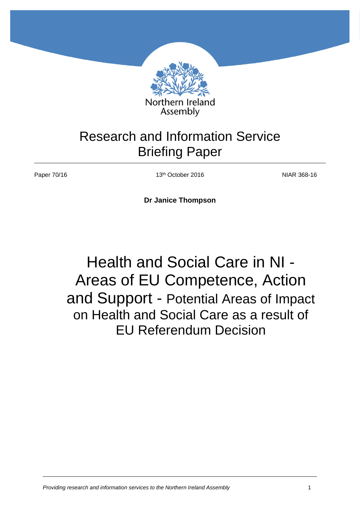

## Research and Information Service Briefing Paper

Paper 70/16 13<sup>th</sup> October 2016 13th October 2016

**Dr Janice Thompson**

# Health and Social Care in NI - Areas of EU Competence, Action and Support - Potential Areas of Impact on Health and Social Care as a result of EU Referendum Decision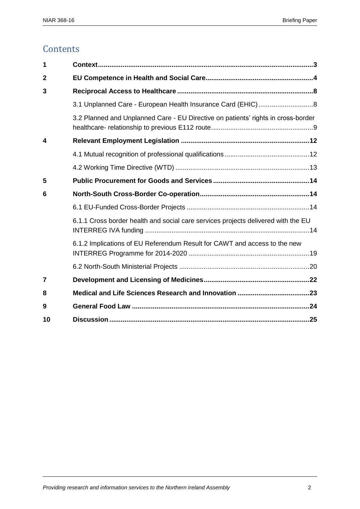## **Contents**

| 1                |                                                                                   |  |  |
|------------------|-----------------------------------------------------------------------------------|--|--|
| $\overline{2}$   |                                                                                   |  |  |
| 3                |                                                                                   |  |  |
|                  |                                                                                   |  |  |
|                  | 3.2 Planned and Unplanned Care - EU Directive on patients' rights in cross-border |  |  |
| $\boldsymbol{4}$ |                                                                                   |  |  |
|                  |                                                                                   |  |  |
|                  |                                                                                   |  |  |
| 5                |                                                                                   |  |  |
| 6                |                                                                                   |  |  |
|                  |                                                                                   |  |  |
|                  | 6.1.1 Cross border health and social care services projects delivered with the EU |  |  |
|                  | 6.1.2 Implications of EU Referendum Result for CAWT and access to the new         |  |  |
|                  |                                                                                   |  |  |
| 7                |                                                                                   |  |  |
| 8                |                                                                                   |  |  |
| 9                |                                                                                   |  |  |
| 10               |                                                                                   |  |  |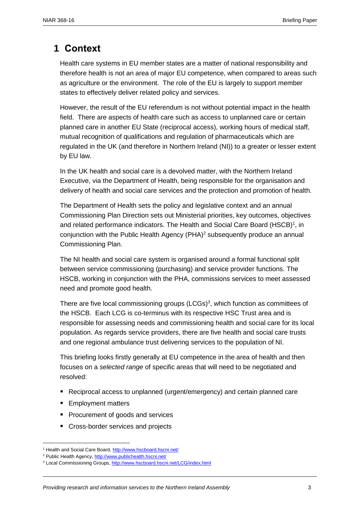## <span id="page-2-0"></span>**1 Context**

Health care systems in EU member states are a matter of national responsibility and therefore health is not an area of major EU competence, when compared to areas such as agriculture or the environment. The role of the EU is largely to support member states to effectively deliver related policy and services.

However, the result of the EU referendum is not without potential impact in the health field. There are aspects of health care such as access to unplanned care or certain planned care in another EU State (reciprocal access), working hours of medical staff, mutual recognition of qualifications and regulation of pharmaceuticals which are regulated in the UK (and therefore in Northern Ireland (NI)) to a greater or lesser extent by EU law.

In the UK health and social care is a devolved matter, with the Northern Ireland Executive, via the Department of Health, being responsible for the organisation and delivery of health and social care services and the protection and promotion of health.

The Department of Health sets the policy and legislative context and an annual Commissioning Plan Direction sets out Ministerial priorities, key outcomes, objectives and related performance indicators. The Health and Social Care Board (HSCB)<sup>1</sup>, in conjunction with the Public Health Agency (PHA)<sup>2</sup> subsequently produce an annual Commissioning Plan.

The NI health and social care system is organised around a formal functional split between service commissioning (purchasing) and service provider functions. The HSCB, working in conjunction with the PHA, commissions services to meet assessed need and promote good health.

There are five local commissioning groups  $(LCGs)^3$ , which function as committees of the HSCB. Each LCG is co-terminus with its respective HSC Trust area and is responsible for assessing needs and commissioning health and social care for its local population. As regards service providers, there are five health and social care trusts and one regional ambulance trust delivering services to the population of NI.

This briefing looks firstly generally at EU competence in the area of health and then focuses on a *selected range* of specific areas that will need to be negotiated and resolved:

- Reciprocal access to unplanned (urgent/emergency) and certain planned care
- **Employment matters**

 $\overline{a}$ 

- **Procurement of goods and services**
- **Cross-border services and projects**

<sup>1</sup> Health and Social Care Board,<http://www.hscboard.hscni.net/>

<sup>2</sup> Public Health Agency[, http://www.publichealth.hscni.net/](http://www.publichealth.hscni.net/)

<sup>&</sup>lt;sup>3</sup> Local Commissioning Groups, <http://www.hscboard.hscni.net/LCG/index.html>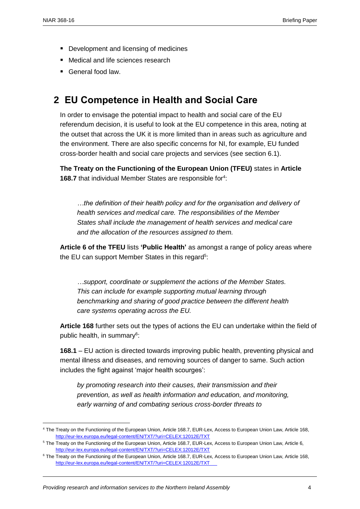$\overline{a}$ 

- **Development and licensing of medicines**
- Medical and life sciences research
- General food law.

## <span id="page-3-0"></span>**2 EU Competence in Health and Social Care**

In order to envisage the potential impact to health and social care of the EU referendum decision, it is useful to look at the EU competence in this area, noting at the outset that across the UK it is more limited than in areas such as agriculture and the environment. There are also specific concerns for NI, for example, EU funded cross-border health and social care projects and services (see section 6.1).

**The Treaty on the Functioning of the European Union (TFEU)** states in **Article**  168.7 that individual Member States are responsible for<sup>4</sup>:

*…the definition of their health policy and for the organisation and delivery of health services and medical care. The responsibilities of the Member States shall include the management of health services and medical care and the allocation of the resources assigned to them.* 

**Article 6 of the TFEU** lists **'Public Health'** as amongst a range of policy areas where the EU can support Member States in this regard<sup>5</sup>:

*…support, coordinate or supplement the actions of the Member States. This can include for example supporting mutual learning through benchmarking and sharing of good practice between the different health care systems operating across the EU.* 

**Article 168** further sets out the types of actions the EU can undertake within the field of public health, in summary<sup>6</sup>:

**168.1** – EU action is directed towards improving public health, preventing physical and mental illness and diseases, and removing sources of danger to same. Such action includes the fight against 'major health scourges':

*by promoting research into their causes, their transmission and their prevention, as well as health information and education, and monitoring, early warning of and combating serious cross-border threats to* 

<sup>4</sup> The Treaty on the Functioning of the European Union, Article 168.7, EUR-Lex, Access to European Union Law, Article 168, <http://eur-lex.europa.eu/legal-content/EN/TXT/?uri=CELEX:12012E/TXT>

<sup>&</sup>lt;sup>5</sup> The Treaty on the Functioning of the European Union, Article 168.7, EUR-Lex, Access to European Union Law, Article 6, <http://eur-lex.europa.eu/legal-content/EN/TXT/?uri=CELEX:12012E/TXT>

<sup>6</sup> The Treaty on the Functioning of the European Union, Article 168.7, EUR-Lex, Access to European Union Law, Article 168, <http://eur-lex.europa.eu/legal-content/EN/TXT/?uri=CELEX:12012E/TXT>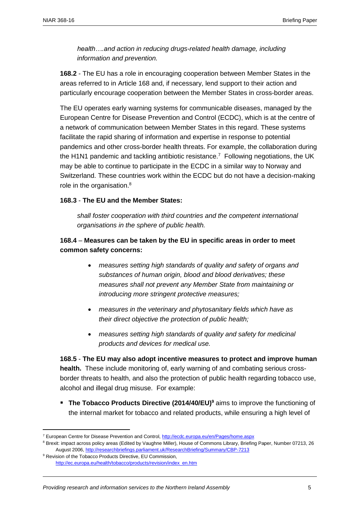*health….and action in reducing drugs-related health damage, including information and prevention.*

**168.2** - The EU has a role in encouraging cooperation between Member States in the areas referred to in Article 168 and, if necessary, lend support to their action and particularly encourage cooperation between the Member States in cross-border areas.

The EU operates early warning systems for communicable diseases, managed by the European Centre for Disease Prevention and Control (ECDC), which is at the centre of a network of communication between Member States in this regard. These systems facilitate the rapid sharing of information and expertise in response to potential pandemics and other cross-border health threats. For example, the collaboration during the H1N1 pandemic and tackling antibiotic resistance.<sup>7</sup> Following negotiations, the UK may be able to continue to participate in the ECDC in a similar way to Norway and Switzerland. These countries work within the ECDC but do not have a decision-making role in the organisation.<sup>8</sup>

#### **168.3** - **The EU and the Member States:**

*shall foster cooperation with third countries and the competent international organisations in the sphere of public health.*

#### **168.4** – **Measures can be taken by the EU in specific areas in order to meet common safety concerns:**

- *measures setting high standards of quality and safety of organs and substances of human origin, blood and blood derivatives; these measures shall not prevent any Member State from maintaining or introducing more stringent protective measures;*
- *measures in the veterinary and phytosanitary fields which have as their direct objective the protection of public health;*
- *measures setting high standards of quality and safety for medicinal products and devices for medical use.*

**168.5** - **The EU may also adopt incentive measures to protect and improve human health.** These include monitoring of, early warning of and combating serious crossborder threats to health, and also the protection of public health regarding tobacco use, alcohol and illegal drug misuse. For example:

**The Tobacco Products Directive (2014/40/EU)<sup>9</sup> aims to improve the functioning of** the internal market for tobacco and related products, while ensuring a high level of

 $\overline{\phantom{a}}$ 

<sup>7</sup> European Centre for Disease Prevention and Control,<http://ecdc.europa.eu/en/Pages/home.aspx>

<sup>&</sup>lt;sup>8</sup> Brexit: impact across policy areas (Edited by Vaughne Miller), House of Commons Library, Briefing Paper, Number 07213, 26 August 2006[, http://researchbriefings.parliament.uk/ResearchBriefing/Summary/CBP-7213](http://researchbriefings.parliament.uk/ResearchBriefing/Summary/CBP-7213)

<sup>&</sup>lt;sup>9</sup> Revision of the Tobacco Products Directive, EU Commission, [http://ec.europa.eu/health/tobacco/products/revision/index\\_en.htm](http://ec.europa.eu/health/tobacco/products/revision/index_en.htm)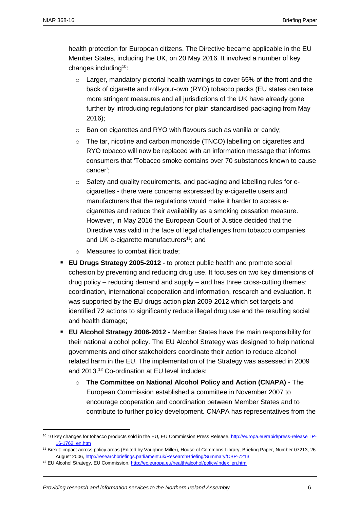health protection for European citizens. The Directive became applicable in the EU Member States, including the UK, on 20 May 2016. It involved a number of key changes including<sup>10</sup>:

- $\circ$  Larger, mandatory pictorial health warnings to cover 65% of the front and the back of cigarette and roll-your-own (RYO) tobacco packs (EU states can take more stringent measures and all jurisdictions of the UK have already gone further by introducing regulations for plain standardised packaging from May 2016);
- o Ban on cigarettes and RYO with flavours such as vanilla or candy;
- $\circ$  The tar, nicotine and carbon monoxide (TNCO) labelling on cigarettes and RYO tobacco will now be replaced with an information message that informs consumers that 'Tobacco smoke contains over 70 substances known to cause cancer';
- o Safety and quality requirements, and packaging and labelling rules for ecigarettes - there were concerns expressed by e-cigarette users and manufacturers that the regulations would make it harder to access ecigarettes and reduce their availability as a smoking cessation measure. However, in May 2016 the European Court of Justice decided that the Directive was valid in the face of legal challenges from tobacco companies and UK e-cigarette manufacturers<sup>11</sup>; and
- o Measures to combat illicit trade;
- **[EU Drugs Strategy 2005-2012](http://register.consilium.europa.eu/pdf/en/04/st15/st15074.en04.pdf)** to protect public health and promote social cohesion by preventing and reducing drug use. It focuses on two key dimensions of drug policy – reducing demand and supply – and has three cross-cutting themes: coordination, international cooperation and information, research and evaluation. It was supported by the [EU drugs action plan 2009-2012](http://ec.europa.eu/justice_home/fsj/drugs/docs/com_2008_567_en.pdf) which set targets and identified 72 actions to significantly reduce illegal drug use and the resulting social and health damage;
- **EU Alcohol Strategy 2006-2012** Member States have the main responsibility for their national alcohol policy. The EU Alcohol Strategy was designed to help national governments and other stakeholders coordinate their action to reduce alcohol related harm in the EU. The implementation of the Strategy was assessed in 2009 and 2013.<sup>12</sup> Co-ordination at EU level includes:
	- o **The [Committee on National Alcohol Policy and Action \(CNAPA\)](http://ec.europa.eu/health/alcohol/committee/index_en.htm)** The European Commission established a committee in November 2007 to encourage cooperation and coordination between Member States and to contribute to further policy development. CNAPA has representatives from the

<sup>&</sup>lt;sup>10</sup> 10 key changes for tobacco products sold in the EU, EU Commission Press Release, [http://europa.eu/rapid/press-release\\_IP-](http://europa.eu/rapid/press-release_IP-16-1762_en.htm)[16-1762\\_en.htm](http://europa.eu/rapid/press-release_IP-16-1762_en.htm)

<sup>&</sup>lt;sup>11</sup> Brexit: impact across policy areas (Edited by Vaughne Miller), House of Commons Library, Briefing Paper, Number 07213, 26 August 2006[, http://researchbriefings.parliament.uk/ResearchBriefing/Summary/CBP-7213](http://researchbriefings.parliament.uk/ResearchBriefing/Summary/CBP-7213)

<sup>&</sup>lt;sup>12</sup> EU Alcohol Strategy, EU Commission[, http://ec.europa.eu/health/alcohol/policy/index\\_en.htm](http://ec.europa.eu/health/alcohol/policy/index_en.htm)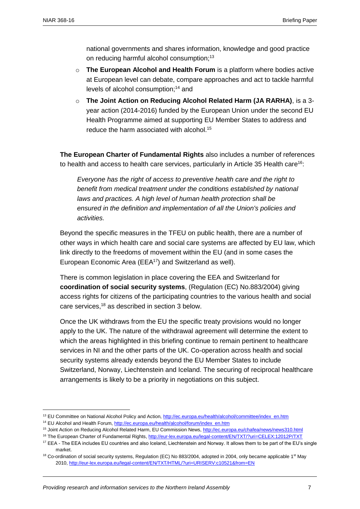national governments and shares information, knowledge and good practice on reducing harmful alcohol consumption;<sup>13</sup>

- o **The European Alcohol and Health Forum** is a platform where bodies active at European level can debate, compare approaches and act to tackle harmful levels of alcohol consumption; <sup>14</sup> and
- o **The [Joint Action on Reducing Alcohol Related Harm \(JA RARHA\)](http://ec.europa.eu/chafea/news/news310.html)**, is a 3 year action (2014-2016) funded by the European Union under the second EU Health Programme aimed at supporting EU Member States to address and reduce the harm associated with alcohol.<sup>15</sup>

**The European Charter of Fundamental Rights** also includes a number of references to health and access to health care services, particularly in Article 35 Health care<sup>16</sup>:

*Everyone has the right of access to preventive health care and the right to benefit from medical treatment under the conditions established by national laws and practices. A high level of human health protection shall be ensured in the definition and implementation of all the Union's policies and activities.*

Beyond the specific measures in the TFEU on public health, there are a number of other ways in which health care and social care systems are affected by EU law, which link directly to the freedoms of movement within the EU (and in some cases the European Economic Area (EEA<sup>17</sup>) and Switzerland as well).

There is common legislation in place covering the EEA and Switzerland for **coordination of social security systems**, (Regulation (EC) No.883/2004) giving access rights for citizens of the participating countries to the various health and social care services, <sup>18</sup> as described in section 3 below.

Once the UK withdraws from the EU the specific treaty provisions would no longer apply to the UK. The nature of the withdrawal agreement will determine the extent to which the areas highlighted in this briefing continue to remain pertinent to healthcare services in NI and the other parts of the UK. Co-operation across health and social security systems already extends beyond the EU Member States to include Switzerland, Norway, Liechtenstein and Iceland. The securing of reciprocal healthcare arrangements is likely to be a priority in negotiations on this subject.

<sup>&</sup>lt;sup>13</sup> EU Committee on National Alcohol Policy and Action, [http://ec.europa.eu/health/alcohol/committee/index\\_en.htm](http://ec.europa.eu/health/alcohol/committee/index_en.htm)

<sup>&</sup>lt;sup>14</sup> EU Alcohol and Health Forum, [http://ec.europa.eu/health/alcohol/forum/index\\_en.htm](http://ec.europa.eu/health/alcohol/forum/index_en.htm)

<sup>15</sup> Joint Action on Reducing Alcohol Related Harm, EU Commission News[, http://ec.europa.eu/chafea/news/news310.html](http://ec.europa.eu/chafea/news/news310.html)

<sup>16</sup> The European Charter of Fundamental Rights[, http://eur-lex.europa.eu/legal-content/EN/TXT/?uri=CELEX:12012P/TXT](http://eur-lex.europa.eu/legal-content/EN/TXT/?uri=CELEX:12012P/TXT)

<sup>&</sup>lt;sup>17</sup> EEA - The EEA includes EU countries and also Iceland, Liechtenstein and Norway. It allows them to be part of the EU's single market.

 $18$  Co-ordination of social security systems, Regulation (EC) No 883/2004, adopted in 2004, only became applicable  $1<sup>st</sup>$  May 2010[, http://eur-lex.europa.eu/legal-content/EN/TXT/HTML/?uri=URISERV:c10521&from=EN](http://eur-lex.europa.eu/legal-content/EN/TXT/HTML/?uri=URISERV:c10521&from=EN)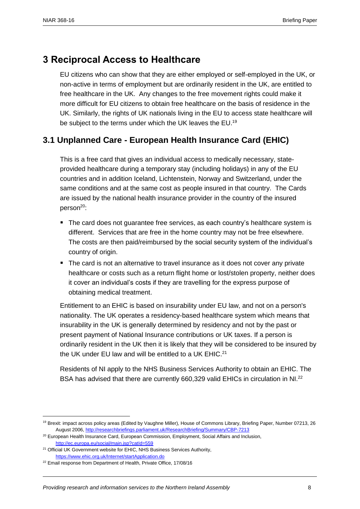## <span id="page-7-0"></span>**3 Reciprocal Access to Healthcare**

EU citizens who can show that they are either employed or self-employed in the UK, or non-active in terms of employment but are ordinarily resident in the UK, are entitled to free healthcare in the UK. Any changes to the free movement rights could make it more difficult for EU citizens to obtain free healthcare on the basis of residence in the UK. Similarly, the rights of UK nationals living in the EU to access state healthcare will be subject to the terms under which the UK leaves the EU.<sup>19</sup>

## <span id="page-7-1"></span>**3.1 Unplanned Care - European Health Insurance Card (EHIC)**

This is a free card that gives an individual access to medically necessary, stateprovided healthcare during a temporary stay (including holidays) in any of the EU countries and in addition Iceland, Lichtenstein, Norway and Switzerland, under the same conditions and at the same cost as people insured in that country. The Cards are issued by the [national health insurance provider](http://ec.europa.eu/social/main.jsp?catId=563&langId=en#nationalinfo) in the country of the insured person<sup>20</sup>:

- The card does not quarantee free services, as each country's healthcare system is different. Services that are free in the home country may not be free elsewhere. The costs are then paid/reimbursed by the social security system of the individual's country of origin.
- The card is not an alternative to travel insurance as it does not cover any private healthcare or costs such as a return flight home or lost/stolen property, neither does it cover an individual's costs if they are travelling for the express purpose of obtaining medical treatment.

Entitlement to an EHIC is based on insurability under EU law, and not on a person's nationality. The UK operates a residency-based healthcare system which means that insurability in the UK is generally determined by residency and not by the past or present payment of National Insurance contributions or UK taxes. If a person is ordinarily resident in the UK then it is likely that they will be considered to be insured by the UK under EU law and will be entitled to a UK EHIC.<sup>21</sup>

Residents of NI apply to the NHS Business Services Authority to obtain an EHIC. The BSA has advised that there are currently 660,329 valid EHICs in circulation in NI.<sup>22</sup>

 $\overline{\phantom{a}}$ 

<sup>&</sup>lt;sup>19</sup> Brexit: impact across policy areas (Edited by Vaughne Miller), House of Commons Library, Briefing Paper, Number 07213, 26 August 2006[, http://researchbriefings.parliament.uk/ResearchBriefing/Summary/CBP-7213](http://researchbriefings.parliament.uk/ResearchBriefing/Summary/CBP-7213)

<sup>&</sup>lt;sup>20</sup> European Health Insurance Card, European Commission, Employment, Social Affairs and Inclusion, <http://ec.europa.eu/social/main.jsp?catId=559>

<sup>&</sup>lt;sup>21</sup> Official UK Government website for EHIC, NHS Business Services Authority, <https://www.ehic.org.uk/Internet/startApplication.do>

<sup>&</sup>lt;sup>22</sup> Email response from Department of Health, Private Office, 17/08/16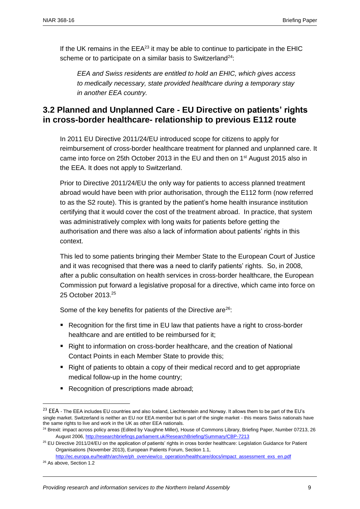If the UK remains in the  $EEA^{23}$  it may be able to continue to participate in the  $EHIC$ scheme or to participate on a similar basis to Switzerland<sup>24</sup>:

*EEA and Swiss residents are entitled to hold an EHIC, which gives access to medically necessary, state provided healthcare during a temporary stay in another EEA country.*

### <span id="page-8-0"></span>**3.2 Planned and Unplanned Care - EU Directive on patients' rights in cross-border healthcare- relationship to previous E112 route**

In 2011 EU Directive 2011/24/EU introduced scope for citizens to apply for reimbursement of cross-border healthcare treatment for planned and unplanned care. It came into force on 25th October 2013 in the EU and then on  $1<sup>st</sup>$  August 2015 also in the EEA. It does not apply to Switzerland.

Prior to Directive 2011/24/EU the only way for patients to access planned treatment abroad would have been with prior authorisation, through the E112 form (now referred to as the S2 route). This is granted by the patient's home health insurance institution certifying that it would cover the cost of the treatment abroad. In practice, that system was administratively complex with long waits for patients before getting the authorisation and there was also a lack of information about patients' rights in this context.

This led to some patients bringing their Member State to the European Court of Justice and it was recognised that there was a need to clarify patients' rights. So, in 2008, after a public consultation on health services in cross-border healthcare, the European Commission put forward a legislative proposal for a directive, which came into force on 25 October 2013.<sup>25</sup>

Some of the key benefits for patients of the Directive are<sup>26</sup>:

- Recognition for the first time in EU law that patients have a right to cross-border healthcare and are entitled to be reimbursed for it;
- **Right to information on cross-border healthcare, and the creation of National** Contact Points in each Member State to provide this;
- Right of patients to obtain a copy of their medical record and to get appropriate medical follow-up in the home country;
- Recognition of prescriptions made abroad;

 $\overline{a}$ 

<sup>&</sup>lt;sup>23</sup> EEA - The EEA includes EU countries and also Iceland, Liechtenstein and Norway. It allows them to be part of the EU's single market. Switzerland is neither an EU nor EEA member but is part of the single market - this means Swiss nationals have the same rights to live and work in the UK as other EEA nationals.

<sup>&</sup>lt;sup>24</sup> Brexit: impact across policy areas (Edited by Vaughne Miller), House of Commons Library, Briefing Paper, Number 07213, 26 August 2006[, http://researchbriefings.parliament.uk/ResearchBriefing/Summary/CBP-7213](http://researchbriefings.parliament.uk/ResearchBriefing/Summary/CBP-7213)

<sup>&</sup>lt;sup>25</sup> EU Directive 2011/24/EU on the application of patients' rights in cross border healthcare: Legislation Guidance for Patient Organisations (November 2013), European Patients Forum, Section 1.1,

[http://ec.europa.eu/health/archive/ph\\_overview/co\\_operation/healthcare/docs/impact\\_assessment\\_exs\\_en.pdf](http://ec.europa.eu/health/archive/ph_overview/co_operation/healthcare/docs/impact_assessment_exs_en.pdf) <sup>26</sup> As above, Section 1.2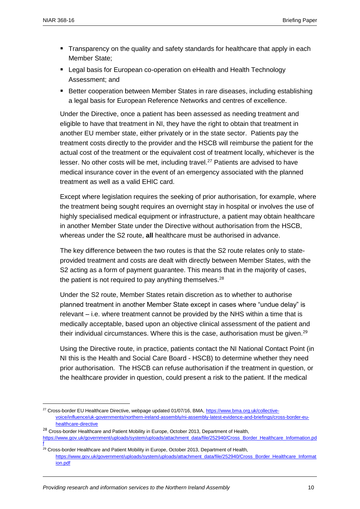$\overline{a}$ 

- **Transparency on the quality and safety standards for healthcare that apply in each** Member State;
- Legal basis for European co-operation on eHealth and Health Technology Assessment; and
- Better cooperation between Member States in rare diseases, including establishing a legal basis for European Reference Networks and centres of excellence.

Under the Directive, once a patient has been assessed as needing treatment and eligible to have that treatment in NI, they have the right to obtain that treatment in another EU member state, either privately or in the state sector. Patients pay the treatment costs directly to the provider and the HSCB will reimburse the patient for the actual cost of the treatment or the equivalent cost of treatment locally, whichever is the lesser. No other costs will be met, including travel.<sup>27</sup> Patients are advised to have medical insurance cover in the event of an emergency associated with the planned treatment as well as a valid EHIC card.

Except where legislation requires the seeking of prior authorisation, for example, where the treatment being sought requires an overnight stay in hospital or involves the use of highly specialised medical equipment or infrastructure, a patient may obtain healthcare in another Member State under the Directive without authorisation from the HSCB, whereas under the S2 route, **all** healthcare must be authorised in advance.

The key difference between the two routes is that the S2 route relates only to stateprovided treatment and costs are dealt with directly between Member States, with the S2 acting as a form of payment guarantee. This means that in the majority of cases, the patient is not required to pay anything themselves.<sup>28</sup>

Under the S2 route, Member States retain discretion as to whether to authorise planned treatment in another Member State except in cases where "undue delay" is relevant – i.e. where treatment cannot be provided by the NHS within a time that is medically acceptable, based upon an objective clinical assessment of the patient and their individual circumstances. Where this is the case, authorisation must be given. $^{29}$ 

Using the Directive route, in practice, patients contact the NI National Contact Point (in NI this is the Health and Social Care Board - HSCB) to determine whether they need prior authorisation. The HSCB can refuse authorisation if the treatment in question, or the healthcare provider in question, could present a risk to the patient. If the medical

<sup>28</sup> Cross-border Healthcare and Patient Mobility in Europe, October 2013, Department of Health, [https://www.gov.uk/government/uploads/system/uploads/attachment\\_data/file/252940/Cross\\_Border\\_Healthcare\\_Information.pd](https://www.gov.uk/government/uploads/system/uploads/attachment_data/file/252940/Cross_Border_Healthcare_Information.pdf) [f](https://www.gov.uk/government/uploads/system/uploads/attachment_data/file/252940/Cross_Border_Healthcare_Information.pdf)

<sup>&</sup>lt;sup>27</sup> Cross-border EU Healthcare Directive, webpage updated 01/07/16, BMA[, https://www.bma.org.uk/collective](https://www.bma.org.uk/collective-voice/influence/uk-governments/northern-ireland-assembly/ni-assembly-latest-evidence-and-briefings/cross-border-eu-healthcare-directive)[voice/influence/uk-governments/northern-ireland-assembly/ni-assembly-latest-evidence-and-briefings/cross-border-eu](https://www.bma.org.uk/collective-voice/influence/uk-governments/northern-ireland-assembly/ni-assembly-latest-evidence-and-briefings/cross-border-eu-healthcare-directive)[healthcare-directive](https://www.bma.org.uk/collective-voice/influence/uk-governments/northern-ireland-assembly/ni-assembly-latest-evidence-and-briefings/cross-border-eu-healthcare-directive)

<sup>&</sup>lt;sup>29</sup> Cross-border Healthcare and Patient Mobility in Europe, October 2013, Department of Health, [https://www.gov.uk/government/uploads/system/uploads/attachment\\_data/file/252940/Cross\\_Border\\_Healthcare\\_Informat](https://www.gov.uk/government/uploads/system/uploads/attachment_data/file/252940/Cross_Border_Healthcare_Information.pdf) [ion.pdf](https://www.gov.uk/government/uploads/system/uploads/attachment_data/file/252940/Cross_Border_Healthcare_Information.pdf)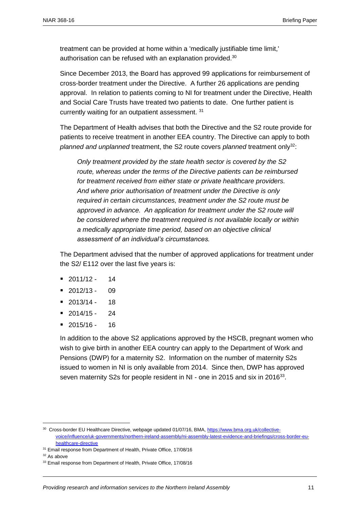treatment can be provided at home within a 'medically justifiable time limit,' authorisation can be refused with an explanation provided.<sup>30</sup>

Since December 2013, the Board has approved 99 applications for reimbursement of cross-border treatment under the Directive. A further 26 applications are pending approval. In relation to patients coming to NI for treatment under the Directive, Health and Social Care Trusts have treated two patients to date. One further patient is currently waiting for an outpatient assessment. 31

The Department of Health advises that both the Directive and the S2 route provide for patients to receive treatment in another EEA country. The Directive can apply to both *planned and unplanned* treatment, the S2 route covers *planned* treatment only<sup>32</sup>:

*Only treatment provided by the state health sector is covered by the S2 route, whereas under the terms of the Directive patients can be reimbursed for treatment received from either state or private healthcare providers. And where prior authorisation of treatment under the Directive is only required in certain circumstances, treatment under the S2 route must be approved in advance. An application for treatment under the S2 route will be considered where the treatment required is not available locally or within a medically appropriate time period, based on an objective clinical assessment of an individual's circumstances.* 

The Department advised that the number of approved applications for treatment under the S2/ E112 over the last five years is:

- $= 2011/12 14$
- $-2012/13 09$
- $= 2013/14 18$
- $= 2014/15 24$
- $= 2015/16 16$

In addition to the above S2 applications approved by the HSCB, pregnant women who wish to give birth in another EEA country can apply to the Department of Work and Pensions (DWP) for a maternity S2. Information on the number of maternity S2s issued to women in NI is only available from 2014. Since then, DWP has approved seven maternity S2s for people resident in NI - one in 2015 and six in 2016<sup>33</sup>.

 $\overline{a}$ 

<sup>30</sup> Cross-border EU Healthcare Directive, webpage updated 01/07/16, BMA, [https://www.bma.org.uk/collective](https://www.bma.org.uk/collective-voice/influence/uk-governments/northern-ireland-assembly/ni-assembly-latest-evidence-and-briefings/cross-border-eu-healthcare-directive)[voice/influence/uk-governments/northern-ireland-assembly/ni-assembly-latest-evidence-and-briefings/cross-border-eu](https://www.bma.org.uk/collective-voice/influence/uk-governments/northern-ireland-assembly/ni-assembly-latest-evidence-and-briefings/cross-border-eu-healthcare-directive)[healthcare-directive](https://www.bma.org.uk/collective-voice/influence/uk-governments/northern-ireland-assembly/ni-assembly-latest-evidence-and-briefings/cross-border-eu-healthcare-directive)

<sup>&</sup>lt;sup>31</sup> Email response from Department of Health, Private Office, 17/08/16

 $32$  As above

<sup>&</sup>lt;sup>33</sup> Email response from Department of Health, Private Office, 17/08/16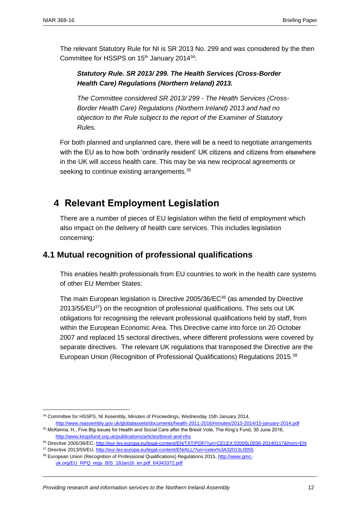The relevant Statutory Rule for NI is SR 2013 No. 299 and was considered by the then Committee for HSSPS on 15<sup>th</sup> January 2014<sup>34</sup>:

#### *Statutory Rule. SR 2013/ 299. The Health Services (Cross-Border Health Care) Regulations (Northern Ireland) 2013.*

*The Committee considered SR 2013/ 299 - The Health Services (Cross-Border Health Care) Regulations (Northern Ireland) 2013 and had no objection to the Rule subject to the report of the Examiner of Statutory Rules.*

For both planned and unplanned care, there will be a need to negotiate arrangements with the EU as to how both 'ordinarily resident' UK citizens and citizens from elsewhere in the UK will access health care. This may be via new reciprocal agreements or seeking to continue existing arrangements.<sup>35</sup>

## <span id="page-11-0"></span>**4 Relevant Employment Legislation**

There are a number of pieces of EU legislation within the field of employment which also impact on the delivery of health care services. This includes legislation concerning:

### <span id="page-11-1"></span>**4.1 Mutual recognition of professional qualifications**

This enables health professionals from EU countries to work in the health care systems of other EU Member States:

The main European legislation is [Directive 2005/36/EC](http://eur-lex.europa.eu/legal-content/EN/TXT/PDF/?uri=CELEX:02005L0036-20140117&from=EN)<sup>36</sup> (as amended by Directive 2013/55/EU<sup>37</sup>) on the recognition of professional qualifications. This sets out UK obligations for recognising the relevant professional qualifications held by staff, from within the European Economic Area. This Directive came into force on 20 October 2007 and replaced 15 sectoral directives, where different professions were covered by separate directives. The relevant UK regulations that transposed the Directive are the European [Union \(Recognition of Professional Qualifications\) Regulations 2015.](http://www.gmc-uk.org/EU_RPQ_regs_BIS_18Jan16_en.pdf_64343372.pdf)<sup>38</sup>

<sup>&</sup>lt;sup>34</sup> Committee for HSSPS, NI Assembly, Minutes of Proceedings, Wednesday 15th January 2014,

<http://www.niassembly.gov.uk/globalassets/documents/health-2011-2016/minutes/2013-2014/15-january-2014.pdf> <sup>35</sup> McKenna, H., Five Big issues for Health and Social Care after the Brexit Vote, The King's Fund, 30 June 2016, <http://www.kingsfund.org.uk/publications/articles/brexit-and-nhs>

<sup>36</sup> [Directive 2005/36/EC, http://eur-lex.europa.eu/legal-content/EN/TXT/PDF/?uri=CELEX:02005L0036-20140117&from=EN](http://eur-lex.europa.eu/legal-content/EN/TXT/PDF/?uri=CELEX:02005L0036-20140117&from=EN)

<sup>37</sup> Directive 2013/55/EU, <http://eur-lex.europa.eu/legal-content/EN/ALL/?uri=celex%3A32013L0055>

<sup>38</sup> European [Union \(Recognition of Professional Qualifications\) Regulations 2015, http://www.gmc](http://www.gmc-uk.org/EU_RPQ_regs_BIS_18Jan16_en.pdf_64343372.pdf)[uk.org/EU\\_RPQ\\_regs\\_BIS\\_18Jan16\\_en.pdf\\_64343372.pdf](http://www.gmc-uk.org/EU_RPQ_regs_BIS_18Jan16_en.pdf_64343372.pdf)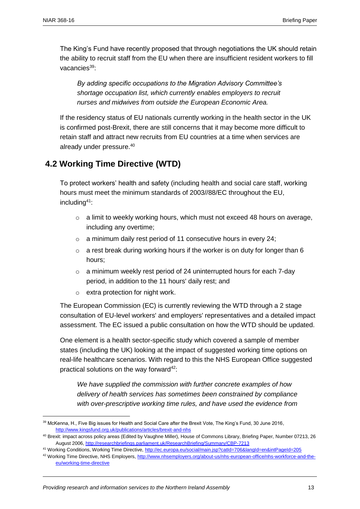The King's Fund have recently proposed that through negotiations the UK should retain the ability to recruit staff from the EU when there are insufficient resident workers to fill vacancies $39$ :

*By adding specific occupations to the Migration Advisory Committee's shortage occupation list, which currently enables employers to recruit nurses and midwives from outside the European Economic Area.*

If the residency status of EU nationals currently working in the health sector in the UK is confirmed post-Brexit, there are still concerns that it may become more difficult to retain staff and attract new recruits from EU countries at a time when services are already under pressure.<sup>40</sup>

### <span id="page-12-0"></span>**4.2 Working Time Directive (WTD)**

To protect workers' health and safety (including health and social care staff, working hours must meet the minimum standards of 2003//88/EC throughout the EU, including<sup>41</sup>:

- o a limit to weekly working hours, which must not exceed 48 hours on average, including any overtime;
- $\circ$  a minimum daily rest period of 11 consecutive hours in every 24;
- $\circ$  a rest break during working hours if the worker is on duty for longer than 6 hours;
- $\circ$  a minimum weekly rest period of 24 uninterrupted hours for each 7-day period, in addition to the 11 hours' daily rest; and
- o extra protection for night work.

The European Commission (EC) is currently reviewing the WTD through a 2 stage consultation of EU-level workers' and employers' representatives and a detailed impact assessment. The EC issued a public consultation on how the WTD should be updated.

One element is a health sector-specific study which covered a sample of member states (including the UK) looking at the impact of suggested working time options on real-life healthcare scenarios. With regard to this the NHS European Office suggested practical solutions on the way forward $42$ :

*We have supplied the commission with further concrete examples of how delivery of health services has sometimes been constrained by compliance with over-prescriptive working time rules, and have used the evidence from* 

<sup>&</sup>lt;sup>39</sup> McKenna, H., Five Big issues for Health and Social Care after the Brexit Vote, The King's Fund, 30 June 2016, <http://www.kingsfund.org.uk/publications/articles/brexit-and-nhs>

<sup>40</sup> Brexit: impact across policy areas (Edited by Vaughne Miller), House of Commons Library, Briefing Paper, Number 07213, 26 August 2006[, http://researchbriefings.parliament.uk/ResearchBriefing/Summary/CBP-7213](http://researchbriefings.parliament.uk/ResearchBriefing/Summary/CBP-7213)

<sup>41</sup> Working Conditions, Working Time Directive[, http://ec.europa.eu/social/main.jsp?catId=706&langId=en&intPageId=205](http://ec.europa.eu/social/main.jsp?catId=706&langId=en&intPageId=205)

<sup>42</sup> Working Time Directive, NHS Employers, [http://www.nhsemployers.org/about-us/nhs-european-office/nhs-workforce-and-the](http://www.nhsemployers.org/about-us/nhs-european-office/nhs-workforce-and-the-eu/working-time-directive)[eu/working-time-directive](http://www.nhsemployers.org/about-us/nhs-european-office/nhs-workforce-and-the-eu/working-time-directive)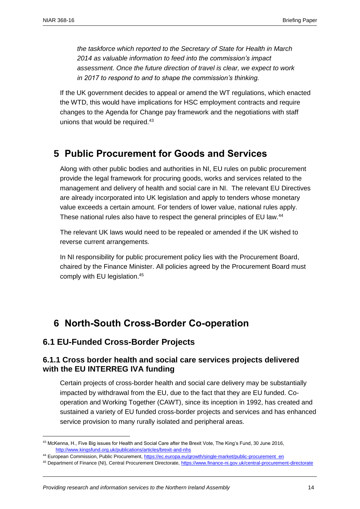*the taskforce which reported to the Secretary of State for Health in March 2014 as valuable information to feed into the commission's impact assessment. Once the future direction of travel is clear, we expect to work in 2017 to respond to and to shape the commission's thinking.* 

If the UK government decides to appeal or amend the WT regulations, which enacted the WTD, this would have implications for HSC employment contracts and require changes to the Agenda for Change pay framework and the negotiations with staff unions that would be required.<sup>43</sup>

## <span id="page-13-0"></span>**5 Public Procurement for Goods and Services**

Along with other public bodies and authorities in NI, EU rules on public procurement provide the legal framework for procuring goods, works and services related to the management and delivery of health and social care in NI. The relevant EU Directives are already incorporated into UK legislation and apply to tenders whose monetary value exceeds a certain amount. For tenders of lower value, national rules apply. These national rules also have to respect the general principles of EU law.<sup>44</sup>

The relevant UK laws would need to be repealed or amended if the UK wished to reverse current arrangements.

In NI responsibility for public procurement policy lies with the [Procurement Board,](https://www.finance-ni.gov.uk/articles/procurement-board-membership-roles-and-responsibilities) chaired by the Finance Minister. All policies agreed by the Procurement Board must comply with EU legislation.<sup>45</sup>

## <span id="page-13-1"></span>**6 North-South Cross-Border Co-operation**

#### <span id="page-13-2"></span>**6.1 EU-Funded Cross-Border Projects**

 $\overline{\phantom{a}}$ 

#### <span id="page-13-3"></span>**6.1.1 Cross border health and social care services projects delivered with the EU INTERREG IVA funding**

Certain projects of cross-border health and social care delivery may be substantially impacted by withdrawal from the EU, due to the fact that they are EU funded. Cooperation and Working Together (CAWT), since its inception in 1992, has created and sustained a variety of EU funded cross-border projects and services and has enhanced service provision to many rurally isolated and peripheral areas.

44 European Commission, Public Procurement[, https://ec.europa.eu/growth/single-market/public-procurement\\_en](https://ec.europa.eu/growth/single-market/public-procurement_en)

<sup>&</sup>lt;sup>43</sup> McKenna, H., Five Big issues for Health and Social Care after the Brexit Vote, The King's Fund, 30 June 2016, <http://www.kingsfund.org.uk/publications/articles/brexit-and-nhs>

<sup>45</sup> Department of Finance (NI), Central Procurement Directorate[, https://www.finance-ni.gov.uk/central-procurement-directorate](https://www.finance-ni.gov.uk/central-procurement-directorate)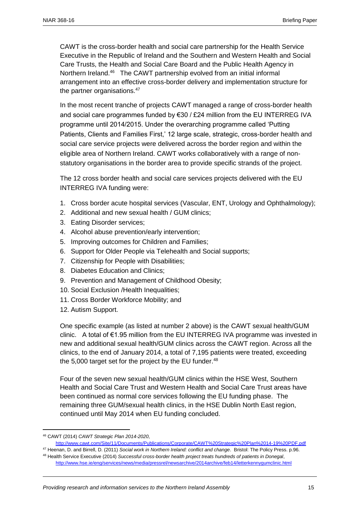CAWT is the cross-border health and social care partnership for the Health Service Executive in the Republic of Ireland and the Southern and Western Health and Social Care Trusts, the Health and Social Care Board and the Public Health Agency in Northern Ireland.<sup>46</sup> The CAWT partnership evolved from an initial informal arrangement into an effective cross-border delivery and implementation structure for the partner organisations.<sup>47</sup>

In the most recent tranche of projects CAWT managed a range of cross-border health and social care programmes funded by €30 / £24 million from the EU INTERREG IVA programme until 2014/2015. Under the overarching programme called 'Putting Patients, Clients and Families First,' 12 large scale, strategic, cross-border health and social care service projects were delivered across the border region and within the eligible area of Northern Ireland. CAWT works collaboratively with a range of nonstatutory organisations in the border area to provide specific strands of the project.

The 12 cross border health and social care services projects delivered with the EU INTERREG IVA funding were:

- 1. Cross border acute hospital services (Vascular, ENT, Urology and Ophthalmology);
- 2. Additional and new sexual health / GUM clinics;
- 3. Eating Disorder services;
- 4. Alcohol abuse prevention/early intervention;
- 5. Improving outcomes for Children and Families;
- 6. Support for Older People via Telehealth and Social supports;
- 7. Citizenship for People with Disabilities;
- 8. Diabetes Education and Clinics;
- 9. Prevention and Management of Childhood Obesity;
- 10. Social Exclusion / Health Inequalities:
- 11. Cross Border Workforce Mobility; and
- 12. Autism Support.

One specific example (as listed at number 2 above) is the CAWT sexual health/GUM clinic. A total of €1.95 million from the EU INTERREG IVA programme was invested in new and additional sexual health/GUM clinics across the CAWT region. Across all the clinics, to the end of January 2014, a total of 7,195 patients were treated, exceeding the 5,000 target set for the project by the EU funder. $48$ 

Four of the seven new sexual health/GUM clinics within the HSE West, Southern Health and Social Care Trust and Western Health and Social Care Trust areas have been continued as normal core services following the EU funding phase. The remaining three GUM/sexual health clinics, in the HSE Dublin North East region, continued until May 2014 when EU funding concluded.

 $\overline{\phantom{a}}$ 

<sup>47</sup> Heenan, D. and Birrell, D. (2011) *Social work in Northern Ireland: conflict and change*. Bristol: The Policy Press. p.96. <sup>48</sup> Health Service Executive (2014) *Successful cross-border health project treats hundreds of patients in Donegal*, <http://www.hse.ie/eng/services/news/media/pressrel/newsarchive/2014archive/feb14/letterkennygumclinic.html>

<sup>46</sup> CAWT (2014) *CAWT Strategic Plan 2014-2020*,

<http://www.cawt.com/Site/11/Documents/Publications/Corporate/CAWT%20Strategic%20Plan%2014-19%20PDF.pdf>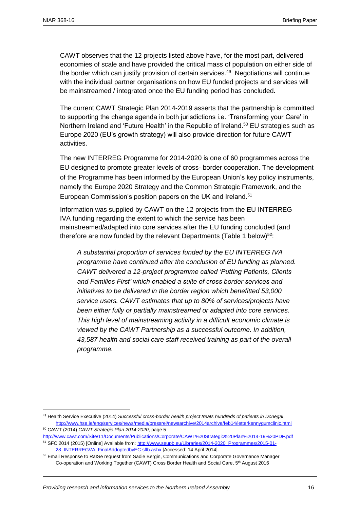CAWT observes that the 12 projects listed above have, for the most part, delivered economies of scale and have provided the critical mass of population on either side of the border which can justify provision of certain services.<sup>49</sup> Negotiations will continue with the individual partner organisations on how EU funded projects and services will be mainstreamed / integrated once the EU funding period has concluded.

The current CAWT Strategic Plan 2014-2019 asserts that the partnership is committed to supporting the change agenda in both jurisdictions i.e. 'Transforming your Care' in Northern Ireland and 'Future Health' in the Republic of Ireland.<sup>50</sup> EU strategies such as Europe 2020 (EU's growth strategy) will also provide direction for future CAWT activities.

The new INTERREG Programme for 2014-2020 is one of 60 programmes across the EU designed to promote greater levels of cross- border cooperation. The development of the Programme has been informed by the European Union's key policy instruments, namely the Europe 2020 Strategy and the Common Strategic Framework, and the European Commission's position papers on the UK and Ireland.<sup>51</sup>

Information was supplied by CAWT on the 12 projects from the EU INTERREG IVA funding regarding the extent to which the service has been mainstreamed/adapted into core services after the EU funding concluded (and therefore are now funded by the relevant Departments (Table 1 below) $52$ :

*A substantial proportion of services funded by the EU INTERREG IVA programme have continued after the conclusion of EU funding as planned. CAWT delivered a 12-project programme called 'Putting Patients, Clients and Families First' which enabled a suite of cross border services and initiatives to be delivered in the border region which benefitted 53,000 service users. CAWT estimates that up to 80% of services/projects have been either fully or partially mainstreamed or adapted into core services. This high level of mainstreaming activity in a difficult economic climate is viewed by the CAWT Partnership as a successful outcome. In addition, 43,587 health and social care staff received training as part of the overall programme.* 

<sup>49</sup> Health Service Executive (2014) *Successful cross-border health project treats hundreds of patients in Donegal*, <http://www.hse.ie/eng/services/news/media/pressrel/newsarchive/2014archive/feb14/letterkennygumclinic.html> <sup>50</sup> CAWT (2014) *CAWT Strategic Plan 2014-2020*, page 5

<http://www.cawt.com/Site/11/Documents/Publications/Corporate/CAWT%20Strategic%20Plan%2014-19%20PDF.pdf> <sup>51</sup> SFC 2014 (2015) [Online] Available from: [http://www.seupb.eu/Libraries/2014-2020\\_Programmes/2015-01-](http://www.seupb.eu/Libraries/2014-2020_Programmes/2015-01-28_INTERREGVA_FinalAddoptedbyEC.sflb.ashx) [28\\_INTERREGVA\\_FinalAddoptedbyEC.sflb.ashx](http://www.seupb.eu/Libraries/2014-2020_Programmes/2015-01-28_INTERREGVA_FinalAddoptedbyEC.sflb.ashx) [Accessed: 14 April 2014].

<sup>&</sup>lt;sup>52</sup> Email Response to RaISe request from Sadie Bergin, Communications and Corporate Governance Manager Co-operation and Working Together (CAWT) Cross Border Health and Social Care, 5<sup>th</sup> August 2016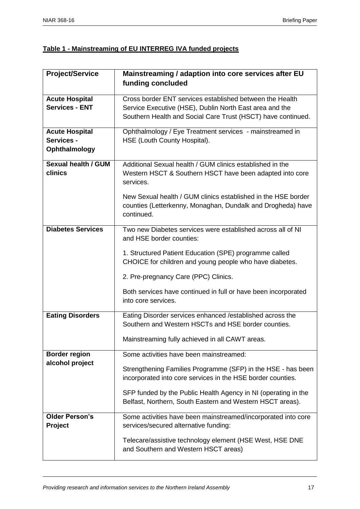#### **Table 1 - Mainstreaming of EU INTERREG IVA funded projects**

| <b>Project/Service</b>     | Mainstreaming / adaption into core services after EU                                                              |
|----------------------------|-------------------------------------------------------------------------------------------------------------------|
|                            | funding concluded                                                                                                 |
|                            |                                                                                                                   |
| <b>Acute Hospital</b>      | Cross border ENT services established between the Health                                                          |
| <b>Services - ENT</b>      | Service Executive (HSE), Dublin North East area and the                                                           |
|                            | Southern Health and Social Care Trust (HSCT) have continued.                                                      |
| <b>Acute Hospital</b>      | Ophthalmology / Eye Treatment services - mainstreamed in                                                          |
| Services -                 | HSE (Louth County Hospital).                                                                                      |
| Ophthalmology              |                                                                                                                   |
| <b>Sexual health / GUM</b> | Additional Sexual health / GUM clinics established in the                                                         |
| clinics                    | Western HSCT & Southern HSCT have been adapted into core<br>services.                                             |
|                            |                                                                                                                   |
|                            | New Sexual health / GUM clinics established in the HSE border                                                     |
|                            | counties (Letterkenny, Monaghan, Dundalk and Drogheda) have                                                       |
|                            | continued.                                                                                                        |
| <b>Diabetes Services</b>   | Two new Diabetes services were established across all of NI                                                       |
|                            | and HSE border counties:                                                                                          |
|                            | 1. Structured Patient Education (SPE) programme called                                                            |
|                            | CHOICE for children and young people who have diabetes.                                                           |
|                            | 2. Pre-pregnancy Care (PPC) Clinics.                                                                              |
|                            | Both services have continued in full or have been incorporated                                                    |
|                            | into core services.                                                                                               |
|                            |                                                                                                                   |
| <b>Eating Disorders</b>    | Eating Disorder services enhanced / established across the<br>Southern and Western HSCTs and HSE border counties. |
|                            | Mainstreaming fully achieved in all CAWT areas.                                                                   |
|                            |                                                                                                                   |
| <b>Border region</b>       | Some activities have been mainstreamed:                                                                           |
| alcohol project            | Strengthening Families Programme (SFP) in the HSE - has been                                                      |
|                            | incorporated into core services in the HSE border counties.                                                       |
|                            | SFP funded by the Public Health Agency in NI (operating in the                                                    |
|                            | Belfast, Northern, South Eastern and Western HSCT areas).                                                         |
| <b>Older Person's</b>      | Some activities have been mainstreamed/incorporated into core                                                     |
| Project                    | services/secured alternative funding:                                                                             |
|                            | Telecare/assistive technology element (HSE West, HSE DNE                                                          |
|                            | and Southern and Western HSCT areas)                                                                              |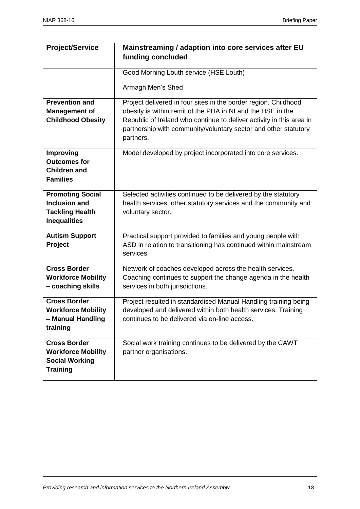| <b>Project/Service</b>                  | Mainstreaming / adaption into core services after EU                 |
|-----------------------------------------|----------------------------------------------------------------------|
|                                         | funding concluded                                                    |
|                                         |                                                                      |
|                                         | Good Morning Louth service (HSE Louth)                               |
|                                         |                                                                      |
|                                         | Armagh Men's Shed                                                    |
| <b>Prevention and</b>                   | Project delivered in four sites in the border region. Childhood      |
| <b>Management of</b>                    | obesity is within remit of the PHA in NI and the HSE in the          |
| <b>Childhood Obesity</b>                | Republic of Ireland who continue to deliver activity in this area in |
|                                         | partnership with community/voluntary sector and other statutory      |
|                                         | partners.                                                            |
|                                         |                                                                      |
| <b>Improving</b><br><b>Outcomes for</b> | Model developed by project incorporated into core services.          |
| <b>Children and</b>                     |                                                                      |
| <b>Families</b>                         |                                                                      |
|                                         |                                                                      |
| <b>Promoting Social</b>                 | Selected activities continued to be delivered by the statutory       |
| <b>Inclusion and</b>                    | health services, other statutory services and the community and      |
| <b>Tackling Health</b>                  | voluntary sector.                                                    |
| <b>Inequalities</b>                     |                                                                      |
| <b>Autism Support</b>                   | Practical support provided to families and young people with         |
|                                         | ASD in relation to transitioning has continued within mainstream     |
| Project                                 | services.                                                            |
|                                         |                                                                      |
| <b>Cross Border</b>                     | Network of coaches developed across the health services.             |
| <b>Workforce Mobility</b>               | Coaching continues to support the change agenda in the health        |
| - coaching skills                       | services in both jurisdictions.                                      |
| <b>Cross Border</b>                     | Project resulted in standardised Manual Handling training being      |
| <b>Workforce Mobility</b>               | developed and delivered within both health services. Training        |
| - Manual Handling                       | continues to be delivered via on-line access.                        |
| training                                |                                                                      |
|                                         |                                                                      |
| <b>Cross Border</b>                     | Social work training continues to be delivered by the CAWT           |
| <b>Workforce Mobility</b>               | partner organisations.                                               |
| <b>Social Working</b>                   |                                                                      |
| <b>Training</b>                         |                                                                      |
|                                         |                                                                      |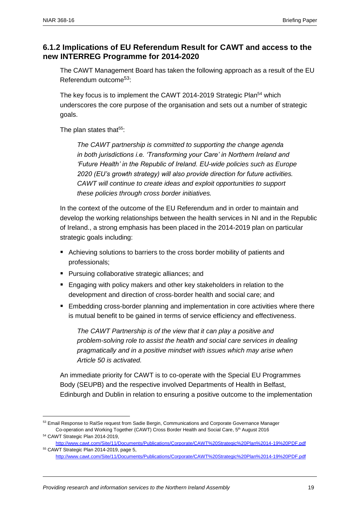#### <span id="page-18-0"></span>**6.1.2 Implications of EU Referendum Result for CAWT and access to the new INTERREG Programme for 2014-2020**

The CAWT Management Board has taken the following approach as a result of the EU Referendum outcome53:

The key focus is to implement the CAWT 2014-2019 Strategic Plan<sup>54</sup> which underscores the core purpose of the organisation and sets out a number of strategic goals.

The plan states that $55$ :

*The CAWT partnership is committed to supporting the change agenda in both jurisdictions i.e. 'Transforming your Care' in Northern Ireland and 'Future Health' in the Republic of Ireland. EU-wide policies such as Europe 2020 (EU's growth strategy) will also provide direction for future activities. CAWT will continue to create ideas and exploit opportunities to support these policies through cross border initiatives.*

In the context of the outcome of the EU Referendum and in order to maintain and develop the working relationships between the health services in NI and in the Republic of Ireland., a strong emphasis has been placed in the 2014-2019 plan on particular strategic goals including:

- Achieving solutions to barriers to the cross border mobility of patients and professionals;
- **Pursuing collaborative strategic alliances; and**
- **E** Engaging with policy makers and other key stakeholders in relation to the development and direction of cross-border health and social care; and
- **Embedding cross-border planning and implementation in core activities where there** is mutual benefit to be gained in terms of service efficiency and effectiveness.

*The CAWT Partnership is of the view that it can play a positive and problem-solving role to assist the health and social care services in dealing pragmatically and in a positive mindset with issues which may arise when Article 50 is activated.*

An immediate priority for CAWT is to co-operate with the Special EU Programmes Body (SEUPB) and the respective involved Departments of Health in Belfast, Edinburgh and Dublin in relation to ensuring a positive outcome to the implementation

<sup>&</sup>lt;sup>53</sup> Email Response to RaISe request from Sadie Bergin, Communications and Corporate Governance Manager Co-operation and Working Together (CAWT) Cross Border Health and Social Care, 5<sup>th</sup> August 2016

<sup>54</sup> CAWT Strategic Plan 2014-2019, <http://www.cawt.com/Site/11/Documents/Publications/Corporate/CAWT%20Strategic%20Plan%2014-19%20PDF.pdf> <sup>55</sup> CAWT Strategic Plan 2014-2019, page 5,

<http://www.cawt.com/Site/11/Documents/Publications/Corporate/CAWT%20Strategic%20Plan%2014-19%20PDF.pdf>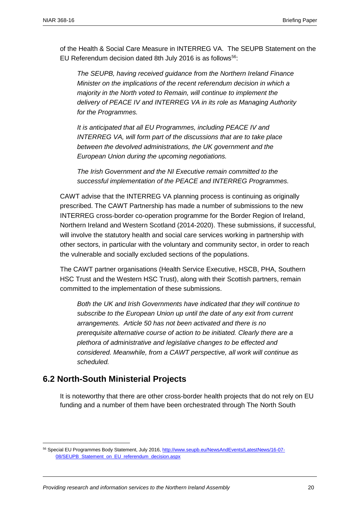of the Health & Social Care Measure in INTERREG VA. The SEUPB Statement on the EU Referendum decision dated 8th July 2016 is as follows<sup>56</sup>:

*The SEUPB, having received guidance from the Northern Ireland Finance Minister on the implications of the recent referendum decision in which a majority in the North voted to Remain, will continue to implement the delivery of PEACE IV and INTERREG VA in its role as Managing Authority for the Programmes.*

*It is anticipated that all EU Programmes, including PEACE IV and INTERREG VA, will form part of the discussions that are to take place between the devolved administrations, the UK government and the European Union during the upcoming negotiations.* 

*The Irish Government and the NI Executive remain committed to the successful implementation of the PEACE and INTERREG Programmes.*

CAWT advise that the INTERREG VA planning process is continuing as originally prescribed. The CAWT Partnership has made a number of submissions to the new INTERREG cross-border co-operation programme for the Border Region of Ireland, Northern Ireland and Western Scotland (2014-2020). These submissions, if successful, will involve the statutory health and social care services working in partnership with other sectors, in particular with the voluntary and community sector, in order to reach the vulnerable and socially excluded sections of the populations.

The CAWT partner organisations (Health Service Executive, HSCB, PHA, Southern HSC Trust and the Western HSC Trust), along with their Scottish partners, remain committed to the implementation of these submissions.

*Both the UK and Irish Governments have indicated that they will continue to subscribe to the European Union up until the date of any exit from current arrangements. Article 50 has not been activated and there is no prerequisite alternative course of action to be initiated. Clearly there are a plethora of administrative and legislative changes to be effected and considered. Meanwhile, from a CAWT perspective, all work will continue as scheduled.*

#### <span id="page-19-0"></span>**6.2 North-South Ministerial Projects**

 $\overline{a}$ 

It is noteworthy that there are other cross-border health projects that do not rely on EU funding and a number of them have been orchestrated through The North South

<sup>56</sup> Special EU Programmes Body Statement, July 2016[, http://www.seupb.eu/NewsAndEvents/LatestNews/16-07-](http://www.seupb.eu/NewsAndEvents/LatestNews/16-07-08/SEUPB_Statement_on_EU_referendum_decision.aspx) [08/SEUPB\\_Statement\\_on\\_EU\\_referendum\\_decision.aspx](http://www.seupb.eu/NewsAndEvents/LatestNews/16-07-08/SEUPB_Statement_on_EU_referendum_decision.aspx)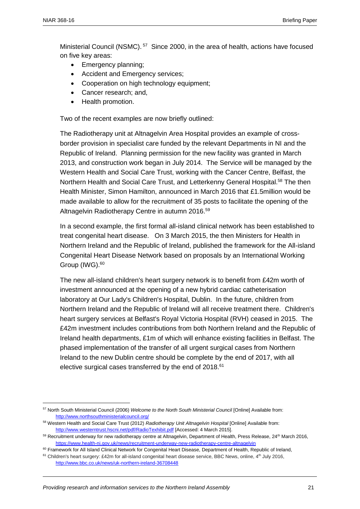$\overline{a}$ 

Ministerial Council (NSMC).<sup>57</sup> Since 2000, in the area of health, actions have focused on five key areas:

- Emergency planning;
- Accident and Emergency services;
- Cooperation on high technology equipment;
- Cancer research; and,
- Health promotion.

Two of the recent examples are now briefly outlined:

The Radiotherapy unit at Altnagelvin Area Hospital provides an example of crossborder provision in specialist care funded by the relevant Departments in NI and the Republic of Ireland. Planning permission for the new facility was granted in March 2013, and construction work began in July 2014. The Service will be managed by the Western Health and Social Care Trust, working with the Cancer Centre, Belfast, the Northern Health and Social Care Trust, and Letterkenny General Hospital.<sup>58</sup> The then Health Minister, Simon Hamilton, announced in March 2016 that £1.5million would be made available to allow for the recruitment of 35 posts to facilitate the opening of the Altnagelvin Radiotherapy Centre in autumn 2016.<sup>59</sup>

In a second example, the first formal all-island clinical network has been established to treat congenital heart disease. On 3 March 2015, the then Ministers for Health in Northern Ireland and the Republic of Ireland, published the framework for the All-island Congenital Heart Disease Network based on proposals by an International Working Group (IWG). 60

The new all-island children's heart surgery network is to benefit from £42m worth of investment announced at the opening of a new hybrid cardiac catheterisation laboratory at Our Lady's Children's Hospital, Dublin. In the future, children from Northern Ireland and the Republic of Ireland will all receive treatment there. Children's heart surgery services at Belfast's Royal Victoria Hospital (RVH) [ceased in 2015.](http://www.bbc.co.uk/news/uk-northern-ireland-31709441) The £42m investment includes contributions from both Northern Ireland and the Republic of Ireland health departments, £1m of which will enhance existing facilities in Belfast. The phased implementation of the transfer of all urgent surgical cases from Northern Ireland to the new Dublin centre should be complete by the end of 2017, with all elective surgical cases transferred by the end of 2018.<sup>61</sup>

<sup>57</sup> North South Ministerial Council (2006) *Welcome to the North South Ministerial Council* [Online] Available from: <http://www.northsouthministerialcouncil.org/>

<sup>58</sup> Western Health and Social Care Trust (2012) *Radiotherapy Unit Altnagelvin Hospital* [Online] Available from: <http://www.westerntrust.hscni.net/pdf/RadioTexhibit.pdf> [Accessed: 4 March 2015].

<sup>59</sup> Recruitment underway for new radiotherapy centre at Altnagelvin, Department of Health, Press Release, 24<sup>th</sup> March 2016, <https://www.health-ni.gov.uk/news/recruitment-underway-new-radiotherapy-centre-altnagelvin>

<sup>60</sup> Framework for All Island Clinical Network for Congenital Heart Disease, Department of Health, Republic of Ireland,

<sup>&</sup>lt;sup>61</sup> Children's heart surgery: £42m for all-island congenital heart disease service, BBC News, online, 4<sup>th</sup> July 2016, <http://www.bbc.co.uk/news/uk-northern-ireland-36708448>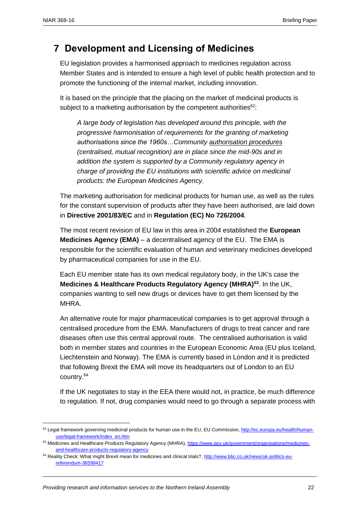$\overline{a}$ 

## <span id="page-21-0"></span>**7 Development and Licensing of Medicines**

EU legislation provides a harmonised approach to medicines regulation across Member States and is intended to ensure a high level of public health protection and to promote the functioning of the internal market, including innovation.

It is based on the principle that the placing on the market of medicinal products is subject to a marketing authorisation by the competent authorities<sup>62</sup>:

*A large body of legislation has developed around this principle, with the progressive harmonisation of requirements for the granting of marketing authorisations since the 1960s…Community [authorisation procedures](http://ec.europa.eu/health/authorisation-procedures_en.htm) (centralised, mutual recognition) are in place since the mid-90s and in addition the system is supported by a Community regulatory agency in charge of providing the EU institutions with scientific advice on medicinal products: the European Medicines Agency.*

The marketing authorisation for medicinal products for human use, as well as the rules for the constant supervision of products after they have been authorised, are laid down in **Directive 2001/83/EC** and in **[Regulation \(EC\) No 726/2004](http://eur-lex.europa.eu/LexUriServ/LexUriServ.do?uri=OJ:L:2004:136:0001:0033:en:PDF)**.

The most recent revision of EU law in this area in 2004 established the **European Medicines Agency (EMA)** – a decentralised agency of the EU. The EMA is responsible for the scientific evaluation of human and veterinary medicines developed by pharmaceutical companies for use in the EU.

Each EU member state has its own medical regulatory body, in the UK's case the **Medicines & Healthcare Products Regulatory Agency (MHRA)<sup>63</sup>** . In the UK, companies wanting to sell new drugs or devices have to get them licensed by the MHRA.

An alternative route for major pharmaceutical companies is to get approval through a centralised procedure from the EMA. Manufacturers of drugs to treat cancer and rare diseases often use this central approval route. The centralised authorisation is valid both in member states and countries in the European Economic Area (EU plus Iceland, Liechtenstein and Norway). The EMA is currently based in London and it is predicted that following Brexit the EMA will move its headquarters out of London to an EU country.<sup>64</sup>

If the UK negotiates to stay in the EEA there would not, in practice, be much difference to regulation. If not, drug companies would need to go through a separate process with

<sup>&</sup>lt;sup>62</sup> Legal framework governing medicinal products for human use in the EU, EU Commission, [http://ec.europa.eu/health/human](http://ec.europa.eu/health/human-use/legal-framework/index_en.htm)[use/legal-framework/index\\_en.htm](http://ec.europa.eu/health/human-use/legal-framework/index_en.htm)

<sup>63</sup> Medicines and Healthcare Products Regulatory Agency (MHRA), [https://www.gov.uk/government/organisations/medicines](https://www.gov.uk/government/organisations/medicines-and-healthcare-products-regulatory-agency)[and-healthcare-products-regulatory-agency](https://www.gov.uk/government/organisations/medicines-and-healthcare-products-regulatory-agency)

<sup>&</sup>lt;sup>64</sup> Reality Check: What might Brexit mean for medicines and clinical trials?[, http://www.bbc.co.uk/news/uk-politics-eu](http://www.bbc.co.uk/news/uk-politics-eu-referendum-36599417)[referendum-36599417](http://www.bbc.co.uk/news/uk-politics-eu-referendum-36599417)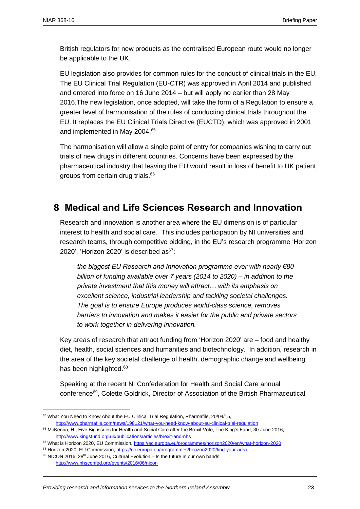British regulators for new products as the centralised European route would no longer be applicable to the UK.

EU legislation also provides for common rules for the conduct of [clinical trials](http://ec.europa.eu/health/human-use/clinical-trials/index_en.htm) in the EU. The EU Clinical Trial Regulation (EU-CTR) was approved in April 2014 and published and entered into force on 16 June 2014 – but will apply no earlier than 28 May 2016.The new legislation, once adopted, will take the form of a Regulation to ensure a greater level of harmonisation of the rules of conducting clinical trials throughout the EU. It replaces the EU Clinical Trials Directive (EUCTD), which was approved in 2001 and implemented in May 2004.<sup>65</sup>

The harmonisation will allow a single point of entry for companies wishing to carry out trials of new drugs in different countries. Concerns have been expressed by the pharmaceutical industry that leaving the EU would result in loss of benefit to UK patient groups from certain drug trials.<sup>66</sup>

## <span id="page-22-0"></span>**8 Medical and Life Sciences Research and Innovation**

Research and innovation is another area where the EU dimension is of particular interest to health and social care. This includes participation by NI universities and research teams, through competitive bidding, in the EU's research programme 'Horizon 2020'. 'Horizon 2020' is described as<sup>67</sup>:

*the biggest EU Research and Innovation programme ever with nearly €80 billion of funding available over 7 years (2014 to 2020) – in addition to the private investment that this money will attract… with its emphasis on excellent science, industrial leadership and tackling societal challenges. The goal is to ensure Europe produces world-class science, removes barriers to innovation and makes it easier for the public and private sectors to work together in delivering innovation.*

Key areas of research that attract funding from 'Horizon 2020' are – food and healthy diet, health, social sciences and humanities and biotechnology. In addition, research in the area of the key societal challenge of health, demographic change and wellbeing has been highlighted.<sup>68</sup>

Speaking at the recent NI Confederation for Health and Social Care annual conference<sup>69</sup>, Colette Goldrick, Director of Association of the British Pharmaceutical

<sup>&</sup>lt;sup>65</sup> What You Need to Know About the EU Clinical Trial Regulation, Pharmafile, 20/04/15, <http://www.pharmafile.com/news/198121/what-you-need-know-about-eu-clinical-trial-regulation>

<sup>&</sup>lt;sup>66</sup> McKenna, H., Five Big issues for Health and Social Care after the Brexit Vote, The King's Fund, 30 June 2016, <http://www.kingsfund.org.uk/publications/articles/brexit-and-nhs>

<sup>67</sup> What is Horizon 2020, EU Commission[, https://ec.europa.eu/programmes/horizon2020/en/what-horizon-2020](https://ec.europa.eu/programmes/horizon2020/en/what-horizon-2020)

<sup>&</sup>lt;sup>68</sup> Horizon 2020. EU Commission[, https://ec.europa.eu/programmes/horizon2020/find-your-area](https://ec.europa.eu/programmes/horizon2020/find-your-area)

 $69$  NICON 2016, 28<sup>th</sup> June 2016, Cultural Evolution – Is the future in our own hands, <http://www.nhsconfed.org/events/2016/06/nicon>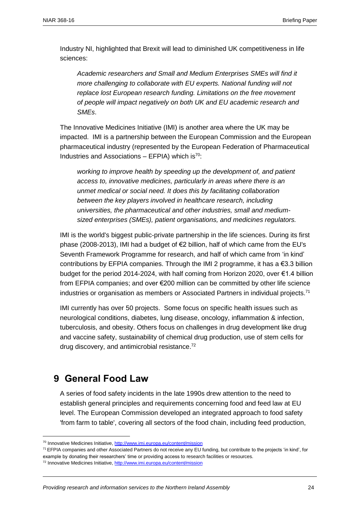Industry NI, highlighted that Brexit will lead to diminished UK competitiveness in life sciences:

*Academic researchers and Small and Medium Enterprises SMEs will find it more challenging to collaborate with EU experts. National funding will not replace lost European research funding. Limitations on the free movement of people will impact negatively on both UK and EU academic research and SMEs*.

The Innovative Medicines Initiative (IMI) is another area where the UK may be impacted. IMI is a partnership between the European Commission and the European pharmaceutical industry (represented by the European Federation of Pharmaceutical Industries and Associations – EFPIA) which is<sup>70</sup>:

*working to improve health by speeding up the development of, and patient access to, innovative medicines, particularly in areas where there is an unmet medical or social need. It does this by facilitating collaboration between the key players involved in healthcare research, including universities, the pharmaceutical and other industries, small and mediumsized enterprises (SMEs), patient organisations, and medicines regulators.* 

IMI is the world's biggest public-private partnership in the life sciences. During its first phase (2008-2013), IMI had a budget of €2 billion, half of which came from the EU's Seventh Framework Programme for research, and half of which came from 'in kind' contributions by EFPIA companies. Through the IMI 2 programme, it has  $a \in 3.3$  billion budget for the period 2014-2024, with half coming from Horizon 2020, over €1.4 billion from EFPIA companies; and over €200 million can be committed by other life science industries or organisation as members or Associated Partners in individual projects.<sup>71</sup>

IMI currently has over 50 [projects.](http://www.imi.europa.eu/content/ongoing-projects) Some focus on specific health issues such as neurological conditions, diabetes, lung disease, oncology, inflammation & infection, tuberculosis, and obesity. Others focus on challenges in drug development like drug and vaccine safety, sustainability of chemical drug production, use of stem cells for drug discovery, and antimicrobial resistance.<sup>72</sup>

## <span id="page-23-0"></span>**9 General Food Law**

 $\overline{\phantom{a}}$ 

A series of food safety incidents in the late 1990s drew attention to the need to establish general principles and requirements concerning food and feed law at EU level. The European Commission developed an integrated approach to food safety 'from farm to table', covering all sectors of the food chain, including feed production,

<sup>&</sup>lt;sup>70</sup> Innovative Medicines Initiative[, http://www.imi.europa.eu/content/mission](http://www.imi.europa.eu/content/mission)

<sup>&</sup>lt;sup>71</sup> EFPIA companies and other Associated Partners do not receive any EU funding, but contribute to the projects 'in kind', for example by donating their researchers' time or providing access to research facilities or resources.

<sup>72</sup> Innovative Medicines Initiative[, http://www.imi.europa.eu/content/mission](http://www.imi.europa.eu/content/mission)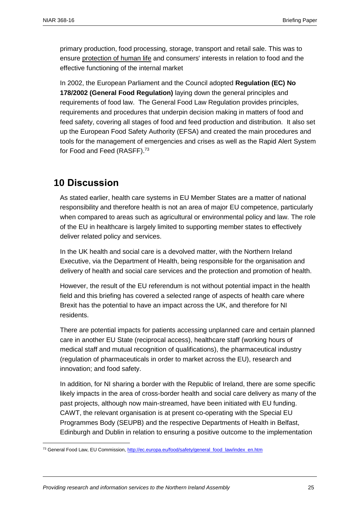primary production, food processing, storage, transport and retail sale. This was to ensure protection of human life and consumers' interests in relation to food and the effective functioning of the internal market

In 2002, the European Parliament and the Council adopted **[Regulation \(EC\) No](http://eur-lex.europa.eu/LexUriServ/LexUriServ.do?uri=CELEX:32002R0178:EN:NOT)  [178/2002](http://eur-lex.europa.eu/LexUriServ/LexUriServ.do?uri=CELEX:32002R0178:EN:NOT) (General Food Regulation)** laying down the general principles and requirements of food law. The General Food Law Regulation provides principles, requirements and procedures that underpin decision making in matters of food and feed safety, covering all stages of food and feed production and distribution. It also set up the [European Food Safety Authority](http://www.efsa.europa.eu/) (EFSA) and created the main procedures and tools for the management of emergencies and crises as well as the [Rapid Alert System](http://ec.europa.eu/food/safety/rasff/index_en.htm)  [for Food and Feed](http://ec.europa.eu/food/safety/rasff/index_en.htm) (RASFF).<sup>73</sup>

## <span id="page-24-0"></span>**10 Discussion**

 $\overline{a}$ 

As stated earlier, health care systems in EU Member States are a matter of national responsibility and therefore health is not an area of major EU competence, particularly when compared to areas such as agricultural or environmental policy and law. The role of the EU in healthcare is largely limited to supporting member states to effectively deliver related policy and services.

In the UK health and social care is a devolved matter, with the Northern Ireland Executive, via the Department of Health, being responsible for the organisation and delivery of health and social care services and the protection and promotion of health.

However, the result of the EU referendum is not without potential impact in the health field and this briefing has covered a selected range of aspects of health care where Brexit has the potential to have an impact across the UK, and therefore for NI residents.

There are potential impacts for patients accessing unplanned care and certain planned care in another EU State (reciprocal access), healthcare staff (working hours of medical staff and mutual recognition of qualifications), the pharmaceutical industry (regulation of pharmaceuticals in order to market across the EU), research and innovation; and food safety.

In addition, for NI sharing a border with the Republic of Ireland, there are some specific likely impacts in the area of cross-border health and social care delivery as many of the past projects, although now main-streamed, have been initiated with EU funding. CAWT, the relevant organisation is at present co-operating with the Special EU Programmes Body (SEUPB) and the respective Departments of Health in Belfast, Edinburgh and Dublin in relation to ensuring a positive outcome to the implementation

<sup>73</sup> General Food Law, EU Commission[, http://ec.europa.eu/food/safety/general\\_food\\_law/index\\_en.htm](http://ec.europa.eu/food/safety/general_food_law/index_en.htm)